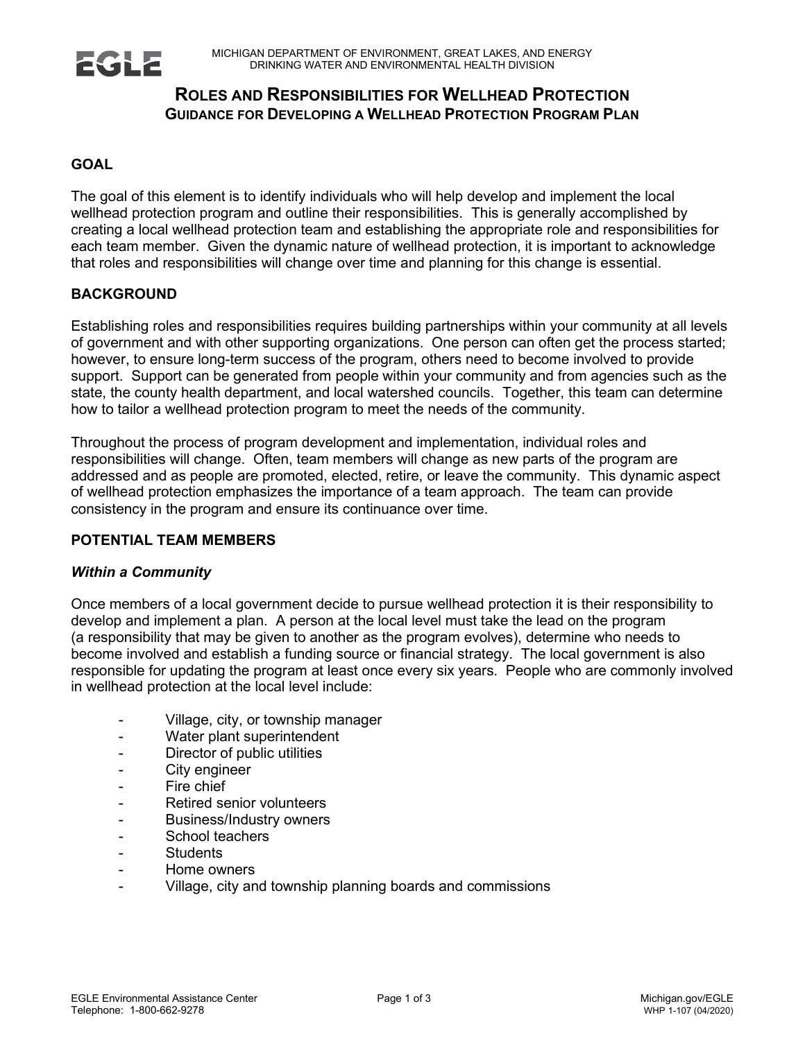

# **ROLES AND RESPONSIBILITIES FOR WELLHEAD PROTECTION GUIDANCE FOR DEVELOPING A WELLHEAD PROTECTION PROGRAM PLAN**

### **GOAL**

The goal of this element is to identify individuals who will help develop and implement the local wellhead protection program and outline their responsibilities. This is generally accomplished by creating a local wellhead protection team and establishing the appropriate role and responsibilities for each team member. Given the dynamic nature of wellhead protection, it is important to acknowledge that roles and responsibilities will change over time and planning for this change is essential.

### **BACKGROUND**

Establishing roles and responsibilities requires building partnerships within your community at all levels of government and with other supporting organizations. One person can often get the process started; however, to ensure long-term success of the program, others need to become involved to provide support. Support can be generated from people within your community and from agencies such as the state, the county health department, and local watershed councils. Together, this team can determine how to tailor a wellhead protection program to meet the needs of the community.

Throughout the process of program development and implementation, individual roles and responsibilities will change. Often, team members will change as new parts of the program are addressed and as people are promoted, elected, retire, or leave the community. This dynamic aspect of wellhead protection emphasizes the importance of a team approach. The team can provide consistency in the program and ensure its continuance over time.

#### **POTENTIAL TEAM MEMBERS**

#### *Within a Community*

Once members of a local government decide to pursue wellhead protection it is their responsibility to develop and implement a plan. A person at the local level must take the lead on the program (a responsibility that may be given to another as the program evolves), determine who needs to become involved and establish a funding source or financial strategy. The local government is also responsible for updating the program at least once every six years. People who are commonly involved in wellhead protection at the local level include:

- Village, city, or township manager
- Water plant superintendent
- Director of public utilities
- City engineer
- Fire chief
- Retired senior volunteers
- Business/Industry owners
- School teachers
- Students
- Home owners
- Village, city and township planning boards and commissions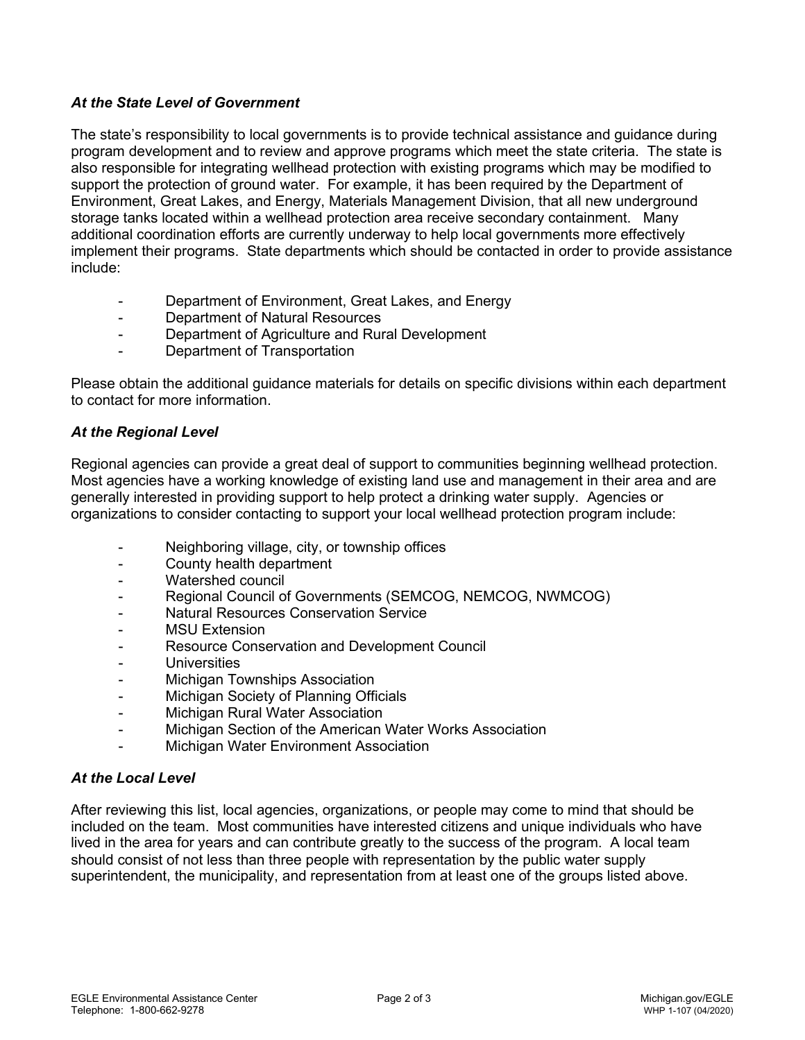### *At the State Level of Government*

The state's responsibility to local governments is to provide technical assistance and guidance during program development and to review and approve programs which meet the state criteria. The state is also responsible for integrating wellhead protection with existing programs which may be modified to support the protection of ground water. For example, it has been required by the Department of Environment, Great Lakes, and Energy, Materials Management Division, that all new underground storage tanks located within a wellhead protection area receive secondary containment. Many additional coordination efforts are currently underway to help local governments more effectively implement their programs. State departments which should be contacted in order to provide assistance include:

- Department of Environment, Great Lakes, and Energy
- Department of Natural Resources
- Department of Agriculture and Rural Development
- Department of Transportation

Please obtain the additional guidance materials for details on specific divisions within each department to contact for more information.

## *At the Regional Level*

Regional agencies can provide a great deal of support to communities beginning wellhead protection. Most agencies have a working knowledge of existing land use and management in their area and are generally interested in providing support to help protect a drinking water supply. Agencies or organizations to consider contacting to support your local wellhead protection program include:

- Neighboring village, city, or township offices
- County health department
- Watershed council
- Regional Council of Governments (SEMCOG, NEMCOG, NWMCOG)
- Natural Resources Conservation Service
- MSU Extension
- Resource Conservation and Development Council
- Universities
- Michigan Townships Association
- Michigan Society of Planning Officials
- Michigan Rural Water Association
- Michigan Section of the American Water Works Association
- Michigan Water Environment Association

### *At the Local Level*

After reviewing this list, local agencies, organizations, or people may come to mind that should be included on the team. Most communities have interested citizens and unique individuals who have lived in the area for years and can contribute greatly to the success of the program. A local team should consist of not less than three people with representation by the public water supply superintendent, the municipality, and representation from at least one of the groups listed above.